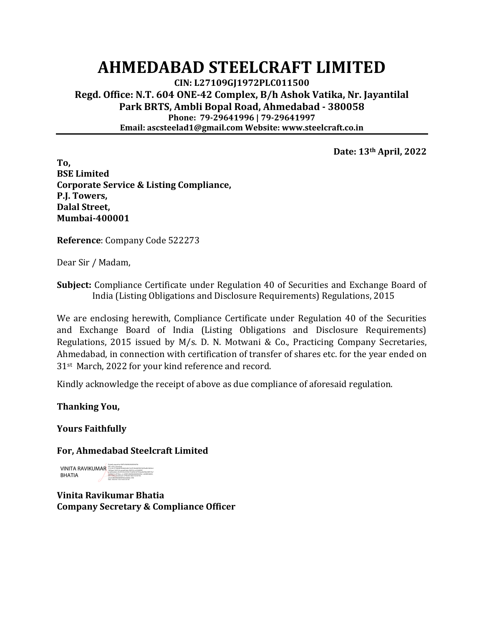## **AHMEDABAD STEELCRAFT LIMITED**

**CIN: L27109GJ1972PLC011500 Regd. Office: N.T. 604 ONE-42 Complex, B/h Ashok Vatika, Nr. Jayantilal Park BRTS, Ambli Bopal Road, Ahmedabad - 380058 Phone: 79-29641996 | 79-29641997 Email: ascsteelad1@gmail.com Website: www.steelcraft.co.in**

**Date: 13th April, 2022**

**To, BSE Limited Corporate Service & Listing Compliance, P.J. Towers, Dalal Street, Mumbai-400001**

**Reference**: Company Code 522273

Dear Sir / Madam,

**Subject:** Compliance Certificate under Regulation 40 of Securities and Exchange Board of India (Listing Obligations and Disclosure Requirements) Regulations, 2015

We are enclosing herewith, Compliance Certificate under Regulation 40 of the Securities and Exchange Board of India (Listing Obligations and Disclosure Requirements) Regulations, 2015 issued by M/s. D. N. Motwani & Co., Practicing Company Secretaries, Ahmedabad, in connection with certification of transfer of shares etc. for the year ended on 31st March, 2022 for your kind reference and record.

Kindly acknowledge the receipt of above as due compliance of aforesaid regulation.

**Thanking You,**

**Yours Faithfully**

## **For, Ahmedabad Steelcraft Limited**

VINITA RAVIKUMAR BHATIA Digitally signed by VINITA RAVIKUMAR BHATIA DN: c=IN, o=Personal, 2.5.4.20=577fd268790deb5e6b613a70106ddd33827d47be8b10b94c6 7d50eaa11629126, postalCode=382330, st=GUJARAT, serialNumber=43c25525e3474fc191eb5fa1b7550eea9ef38e658f519a7 ea3f82071c39702ec, cn=VINITA RAVIKUMAR BHATIA, l=AHMEDABAD, title=2790, pseudonym=279020210426152341947, email=BHOJWANIVINITA4@GMAIL.COM Date: 2022.04.13 20:14:40 +05'30'

**Vinita Ravikumar Bhatia Company Secretary & Compliance Officer**